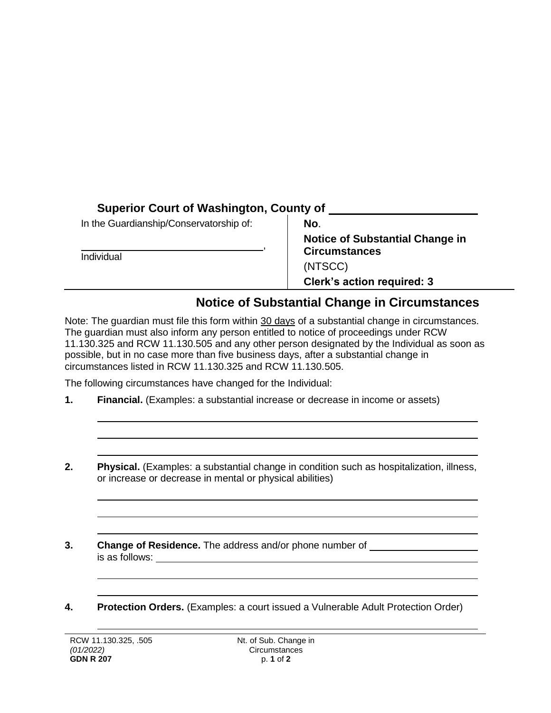## **Superior Court of Washington, County of**

| In the Guardianship/Conservatorship of:<br>Individual | No.                                                                       |
|-------------------------------------------------------|---------------------------------------------------------------------------|
|                                                       | <b>Notice of Substantial Change in</b><br><b>Circumstances</b><br>(NTSCC) |
|                                                       | <b>Clerk's action required: 3</b>                                         |

## **Notice of Substantial Change in Circumstances**

Note: The guardian must file this form within 30 days of a substantial change in circumstances. The guardian must also inform any person entitled to notice of proceedings under RCW 11.130.325 and RCW 11.130.505 and any other person designated by the Individual as soon as possible, but in no case more than five business days, after a substantial change in circumstances listed in RCW 11.130.325 and RCW 11.130.505.

The following circumstances have changed for the Individual:

- **1. Financial.** (Examples: a substantial increase or decrease in income or assets)
- **2. Physical.** (Examples: a substantial change in condition such as hospitalization, illness, or increase or decrease in mental or physical abilities)
- **3. Change of Residence.** The address and/or phone number of is as follows:
- **4. Protection Orders.** (Examples: a court issued a Vulnerable Adult Protection Order)